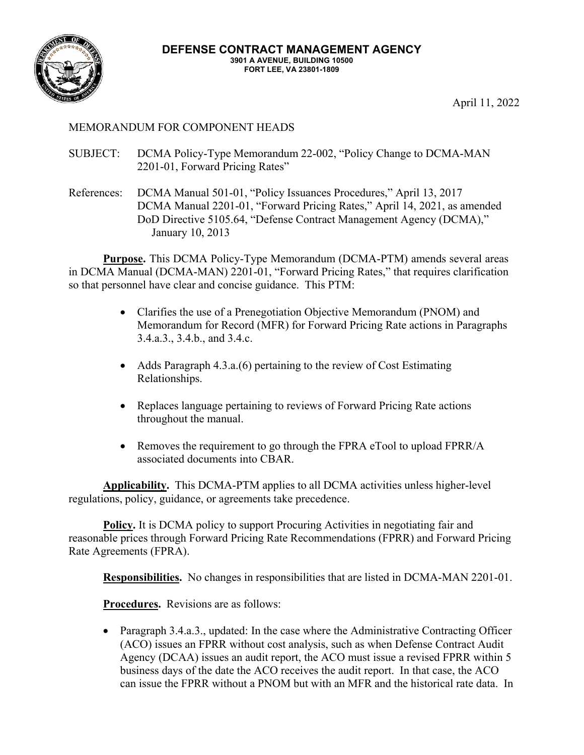

April 11, 2022

## MEMORANDUM FOR COMPONENT HEADS

- SUBJECT: DCMA Policy-Type Memorandum 22-002, "Policy Change to DCMA-MAN 2201-01, Forward Pricing Rates"
- References: DCMA Manual 501-01, "Policy Issuances Procedures," April 13, 2017 DCMA Manual 2201-01, "Forward Pricing Rates," April 14, 2021, as amended DoD Directive 5105.64, "Defense Contract Management Agency (DCMA)," January 10, 2013

**Purpose.** This DCMA Policy-Type Memorandum (DCMA-PTM) amends several areas in DCMA Manual (DCMA-MAN) 2201-01, "Forward Pricing Rates," that requires clarification so that personnel have clear and concise guidance. This PTM:

- Clarifies the use of a Prenegotiation Objective Memorandum (PNOM) and Memorandum for Record (MFR) for Forward Pricing Rate actions in Paragraphs 3.4.a.3., 3.4.b., and 3.4.c.
- Adds Paragraph 4.3.a. (6) pertaining to the review of Cost Estimating Relationships.
- Replaces language pertaining to reviews of Forward Pricing Rate actions throughout the manual.
- Removes the requirement to go through the FPRA eTool to upload FPRR/A associated documents into CBAR.

**Applicability.** This DCMA-PTM applies to all DCMA activities unless higher-level regulations, policy, guidance, or agreements take precedence.

**Policy.** It is DCMA policy to support Procuring Activities in negotiating fair and reasonable prices through Forward Pricing Rate Recommendations (FPRR) and Forward Pricing Rate Agreements (FPRA).

**Responsibilities.** No changes in responsibilities that are listed in DCMA-MAN 2201-01.

**Procedures.** Revisions are as follows:

• Paragraph 3.4.a.3., updated: In the case where the Administrative Contracting Officer (ACO) issues an FPRR without cost analysis, such as when Defense Contract Audit Agency (DCAA) issues an audit report, the ACO must issue a revised FPRR within 5 business days of the date the ACO receives the audit report. In that case, the ACO can issue the FPRR without a PNOM but with an MFR and the historical rate data. In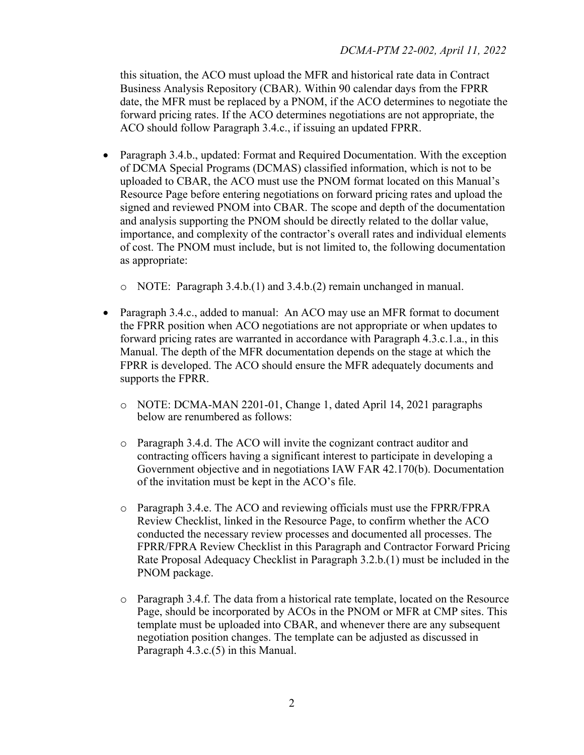this situation, the ACO must upload the MFR and historical rate data in Contract Business Analysis Repository (CBAR). Within 90 calendar days from the FPRR date, the MFR must be replaced by a PNOM, if the ACO determines to negotiate the forward pricing rates. If the ACO determines negotiations are not appropriate, the ACO should follow Paragraph 3.4.c., if issuing an updated FPRR.

- Paragraph 3.4.b., updated: Format and Required Documentation. With the exception of DCMA Special Programs (DCMAS) classified information, which is not to be uploaded to CBAR, the ACO must use the PNOM format located on this Manual's Resource Page before entering negotiations on forward pricing rates and upload the signed and reviewed PNOM into CBAR. The scope and depth of the documentation and analysis supporting the PNOM should be directly related to the dollar value, importance, and complexity of the contractor's overall rates and individual elements of cost. The PNOM must include, but is not limited to, the following documentation as appropriate:
	- o NOTE: Paragraph 3.4.b.(1) and 3.4.b.(2) remain unchanged in manual.
- Paragraph 3.4.c., added to manual: An ACO may use an MFR format to document the FPRR position when ACO negotiations are not appropriate or when updates to forward pricing rates are warranted in accordance with Paragraph 4.3.c.1.a., in this Manual. The depth of the MFR documentation depends on the stage at which the FPRR is developed. The ACO should ensure the MFR adequately documents and supports the FPRR.
	- o NOTE: DCMA-MAN 2201-01, Change 1, dated April 14, 2021 paragraphs below are renumbered as follows:
	- o Paragraph 3.4.d. The ACO will invite the cognizant contract auditor and contracting officers having a significant interest to participate in developing a Government objective and in negotiations IAW FAR 42.170(b). Documentation of the invitation must be kept in the ACO's file.
	- o Paragraph 3.4.e. The ACO and reviewing officials must use the FPRR/FPRA Review Checklist, linked in the Resource Page, to confirm whether the ACO conducted the necessary review processes and documented all processes. The FPRR/FPRA Review Checklist in this Paragraph and Contractor Forward Pricing Rate Proposal Adequacy Checklist in Paragraph 3.2.b.(1) must be included in the PNOM package.
	- o Paragraph 3.4.f. The data from a historical rate template, located on the Resource Page, should be incorporated by ACOs in the PNOM or MFR at CMP sites. This template must be uploaded into CBAR, and whenever there are any subsequent negotiation position changes. The template can be adjusted as discussed in Paragraph 4.3.c.(5) in this Manual.